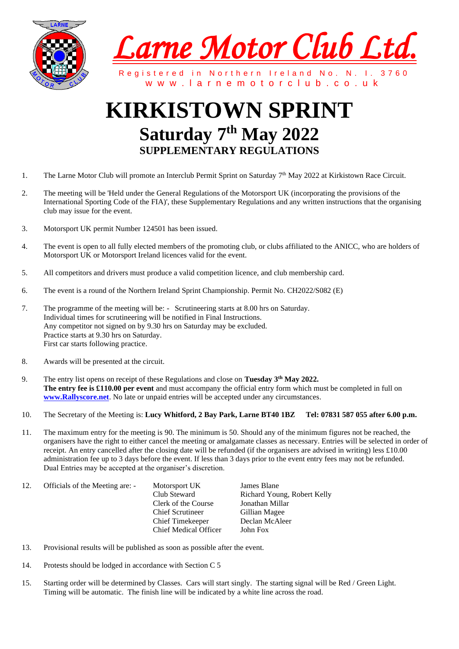



Registered in Northern Ireland No. N. I. 3760 w w w . l a r n e m o t o r c l u b . c o . u k

## **KIRKISTOWN SPRINT Saturday 7 th May 2022 SUPPLEMENTARY REGULATIONS**

- 1. The Larne Motor Club will promote an Interclub Permit Sprint on Saturday 7<sup>th</sup> May 2022 at Kirkistown Race Circuit.
- 2. The meeting will be 'Held under the General Regulations of the Motorsport UK (incorporating the provisions of the International Sporting Code of the FIA)', these Supplementary Regulations and any written instructions that the organising club may issue for the event.
- 3. Motorsport UK permit Number 124501 has been issued.
- 4. The event is open to all fully elected members of the promoting club, or clubs affiliated to the ANICC, who are holders of Motorsport UK or Motorsport Ireland licences valid for the event.
- 5. All competitors and drivers must produce a valid competition licence, and club membership card.
- 6. The event is a round of the Northern Ireland Sprint Championship. Permit No. CH2022/S082 (E)
- 7. The programme of the meeting will be: Scrutineering starts at 8.00 hrs on Saturday. Individual times for scrutineering will be notified in Final Instructions. Any competitor not signed on by 9.30 hrs on Saturday may be excluded. Practice starts at 9.30 hrs on Saturday. First car starts following practice.
- 8. Awards will be presented at the circuit.
- 9. The entry list opens on receipt of these Regulations and close on **Tuesday 3 th May 2022. The entry fee is £110.00 per event** and must accompany the official entry form which must be completed in full on **[www.Rallyscore.net](http://www.rallyscore.net/)**. No late or unpaid entries will be accepted under any circumstances.
- 10. The Secretary of the Meeting is: **Lucy Whitford, 2 Bay Park, Larne BT40 1BZ Tel: 07831 587 055 after 6.00 p.m.**
- 11. The maximum entry for the meeting is 90. The minimum is 50. Should any of the minimum figures not be reached, the organisers have the right to either cancel the meeting or amalgamate classes as necessary. Entries will be selected in order of receipt. An entry cancelled after the closing date will be refunded (if the organisers are advised in writing) less £10.00 administration fee up to 3 days before the event. If less than 3 days prior to the event entry fees may not be refunded. Dual Entries may be accepted at the organiser's discretion.

| 12. | Officials of the Meeting are: - | Motorsport UK                | James Blane                 |
|-----|---------------------------------|------------------------------|-----------------------------|
|     |                                 | Club Steward                 | Richard Young, Robert Kelly |
|     |                                 | Clerk of the Course          | Jonathan Millar             |
|     |                                 | <b>Chief Scrutineer</b>      | Gillian Magee               |
|     |                                 | <b>Chief Timekeeper</b>      | Declan McAleer              |
|     |                                 | <b>Chief Medical Officer</b> | John Fox                    |

- 13. Provisional results will be published as soon as possible after the event.
- 14. Protests should be lodged in accordance with Section C 5
- 15. Starting order will be determined by Classes. Cars will start singly. The starting signal will be Red / Green Light. Timing will be automatic. The finish line will be indicated by a white line across the road.